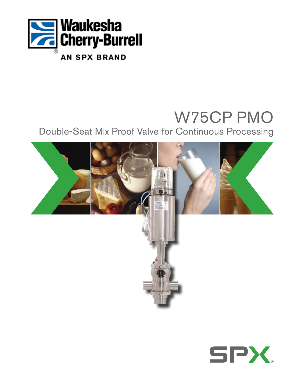

# W75CP PMO

Double-Seat Mix Proof Valve for Continuous Processing



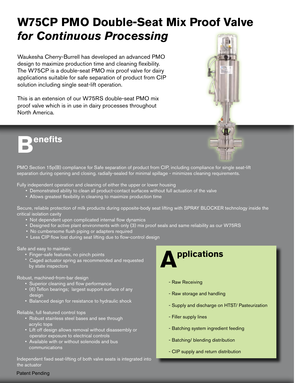# **W75CP PMO Double-Seat Mix Proof Valve**  *for Continuous Processing*

Waukesha Cherry-Burrell has developed an advanced PMO design to maximize production time and cleaning flexibility. The W75CP is a double-seat PMO mix proof valve for dairy applications suitable for safe separation of product from CIP solution including single seat-lift operation.

This is an extension of our W75RS double-seat PMO mix proof valve which is in use in dairy processes throughout North America.



PMO Section 15p(B) compliance for Safe separation of product from CIP, including compliance for single seat-lift separation during opening and closing. radially-sealed for minimal spillage - minimizes cleaning requirements.

Fully independent operation and cleaning of either the upper or lower housing

- Demonstrated ability to clean all product-contact surfaces without full actuation of the valve
- Allows greatest flexibility in cleaning to maximize production time

Secure, reliable protection of milk products during opposite-body seat lifting with SPRAY BLOCKER technology inside the critical isolation cavity

- Not dependent upon complicated internal flow dynamics
- Designed for active plant environments with only (3) mix proof seals and same reliability as our W75RS
- No cumbersome flush piping or adapters required
- Less CIP flow lost during seat lifting due to flow-control design

Safe and easy to maintain:

- Finger-safe features, no pinch points
- Caged actuator spring as recommended and requested by state inspectors

Robust, machined-from-bar design

- Superior cleaning and flow performance
- (6) Teflon bearings; largest support surface of any design
- Balanced design for resistance to hydraulic shock

Reliable, full featured control tops

- Robust stainless steel bases and see through acrylic tops
- Lift off design allows removal without disassembly or operator exposure to electrical controls
- Available with or without solenoids and bus communications

macpendent<br>the actuator Independent fixed seat-lifting of both valve seats is integrated into

# **Applications**

- Raw Receiving
- Raw storage and handling
- Supply and discharge on HTST/ Pasteurization
- Filler supply lines
- Batching system ingredient feeding
- Batching/ blending distribution
- CIP supply and return distribution



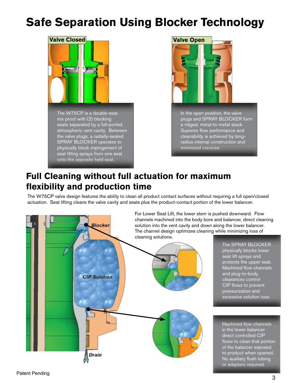## **Safe Separation Using Blocker Technology**





In the open position, the valve plugs and SPRAY BLOCKER form a ridged, metal-to-metal stack. Superior flow performance and cleanability is achieved by longradius internal construction and minimized crevices.

## **Full Cleaning without full actuation for maximum flexibility and production time**

The W75CP valve design features the ability to clean all product contact surfaces without requiring a full open/closed actuation. Seat lifting cleans the valve cavity and seats plus the product-contact portion of the lower balancer.